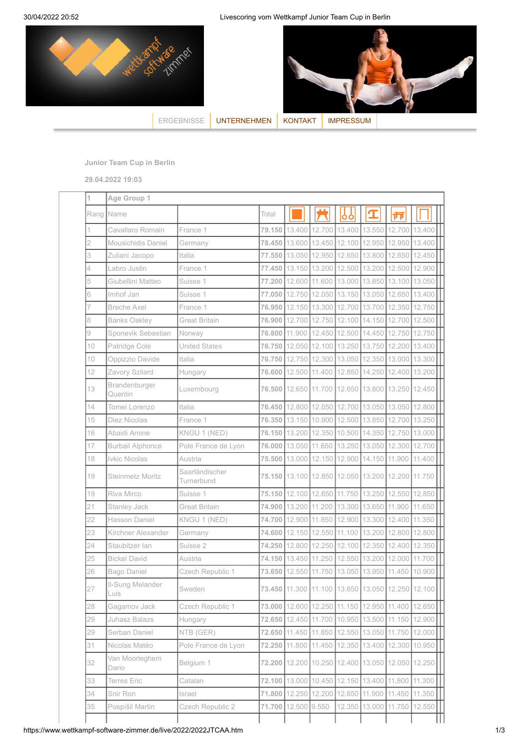30/04/2022 20:52 Livescoring vom Wettkampf Junior Team Cup in Berlin



**Junior Team Cup in Berlin**

**29.04.2022 19:03**

|    | Age Group 1              |                              |          |                                                  |        |                                    |                      |                             |        |
|----|--------------------------|------------------------------|----------|--------------------------------------------------|--------|------------------------------------|----------------------|-----------------------------|--------|
|    | Rang Name                |                              | Total    |                                                  |        | ŌŌ                                 |                      | īΠ                          |        |
| 1  | Cavallaro Romain         | France 1                     |          | 79.150 13.400                                    |        | 12.700 13.400 13.550 12.700 13.400 |                      |                             |        |
| 2  | Mousichidis Daniel       | Germany                      | 78.450   | 13.600                                           | 13.450 | 12.100                             | 12.950               | 12.950                      | 13.400 |
| 3  | Zuliani Jacopo           | Italia                       | 77.550   | 13.050                                           | 12.950 | 12.650 13.800                      |                      | 12.650                      | 12.450 |
| 4  | Labro Justin             | France 1                     | 77.450 l | 13.150                                           |        | 13.200 12.500 13.200               |                      | 12.500                      | 12.900 |
| 5  | Giubellini Matteo        | Suisse 1                     | 77.200   | 12.600                                           | 11.600 |                                    | 13.000 13.850 13.100 |                             | 13.050 |
| 6  | Imhof Jan                | Suisse 1                     |          | 77.050 12.750                                    |        | 12.050 13.150 13.050 12.650        |                      |                             | 13.400 |
| 7  | <b>Breche Axel</b>       | France 1                     |          | 76.950 12.150                                    | 13.300 | 12.700 13.700                      |                      | 12.350                      | 12.750 |
| 8  | <b>Banks Oakley</b>      | <b>Great Britain</b>         |          | 76.900 12.700                                    |        | 12.750 12.100 14.150 12.700        |                      |                             | 12.500 |
| 9  | Sponevik Sebastian       | Norway                       | 76.800   | 11.900                                           | 12.450 | 12.500 14.450                      |                      | 12.750                      | 12.750 |
| 10 | Patridge Cole            | <b>United States</b>         | 76.750   | 12.050                                           |        | 12.100 13.250 13.750               |                      | 12.200 13.400               |        |
| 10 | Oppizzio Davide          | Italia                       | 76.750   | 12.750                                           |        | 12.300 13.050 12.350 13.000        |                      |                             | 13.300 |
| 12 | Zavory Szilard           | Hungary                      | 76,600   | 12.500                                           | 11.400 |                                    | 12.850 14.250 12.400 |                             | 13.200 |
| 13 | Brandenburger<br>Quentin | Luxembourg                   | 76.500   | 12.650                                           | 11.700 |                                    |                      | 12.650 13.800 13.250 12.450 |        |
| 14 | Tomei Lorenzo            | Italia                       | 76.450   | 12.800                                           |        | 12.050 12.700 13.050 13.050        |                      |                             | 12.800 |
| 15 | Diez Nicolas             | France 1                     |          | 76.350 13.150                                    |        | 10.900 12.500 13.850 12.700        |                      |                             | 13.250 |
| 16 | Abaidi Amine             | KNGU 1 (NED)                 |          | 76.150 13.200 12.350 10.500 14.350 12.750        |        |                                    |                      |                             | 13.000 |
| 17 | <b>Burbail Alphonce</b>  | Pole France de Lyon          |          | 76.000 13.050 11.650 13.250 13.050               |        |                                    |                      | 12.300                      | 12.700 |
| 18 | Ivkic Nicolas            | Austria                      | 75,500   | 13.000                                           | 12.150 | 12.900 14.150                      |                      | 11.900                      | 11.400 |
| 19 | Steinmetz Moritz         | Saarländischer<br>Turnerbund |          | 75.150 13.100 12.850 12.050 13.200 12.200        |        |                                    |                      |                             | 11.750 |
| 19 | Riva Mirco               | Suisse 1                     |          | 75.150 12.100                                    | 12.650 | 11.750 13.250                      |                      | 12.550                      | 12.850 |
| 21 | Stanley Jack             | <b>Great Britain</b>         |          | 74.900 13.200                                    | 11.200 | 13.300 13.650 11.900               |                      |                             | 11.650 |
| 22 | Hasson Daniel            | KNGU 1 (NED)                 | 74.700   | 12.900                                           | 11.850 |                                    | 12.900 13.300 12.400 |                             | 11.350 |
| 23 | Kirchner Alexander       | Germany                      | 74.600   | 12.150                                           | 12.550 | 11.100                             | 13.200               | 12.800                      | 12.800 |
| 24 | Staubitzer lan           | Suisse 2                     | 74.250   | 12.800                                           | 12.250 | 12.100 12.350                      |                      | 12.400                      | 12.350 |
| 25 | <b>Bickel David</b>      | Austria                      | 74.150   | 13.450                                           | 11.250 | 12.550 13.200                      |                      | 12.000                      | 11.700 |
| 26 | Bago Daniel              | Czech Republic 1             | 73.650   | 12.550                                           | 11.750 | 13.050                             | 13.950               | 11.450                      | 10.900 |
| 27 | Il-Sung Melander<br>Luis | Sweden                       |          | 73.450 11.300 11.100 13.650 13.050 12.250 12.100 |        |                                    |                      |                             |        |
| 28 | Gagamov Jack             | Czech Republic 1             | 73.000   | 12.600                                           |        | 12.250 11.150 12.950 11.400        |                      |                             | 12.650 |
| 29 | Juhasz Balazs            | Hungary                      | 72.650   | 12.450                                           |        | 11.700 10.950 13.500 11.150        |                      |                             | 12.900 |
| 29 | Serban Daniel            | NTB (GER)                    | 72.650   | 11.450                                           | 11.850 | 12.550                             | 13.050               | 11.750                      | 12.000 |
| 31 | Nicolas Matéo            | Pole France de Lyon          | 72.250   | 11.800                                           | 11.450 | 12.350                             | 13.400               | 12.300                      | 10.950 |
| 32 | Van Moorleghem<br>Dario  | Belgium 1                    | 72.200   | 12.200                                           | 10.250 |                                    | 12.400 13.050 12.050 |                             | 12.250 |
| 33 | <b>Terres Eric</b>       | Catalan                      |          | 72.100 13.000 10.450                             |        | 12.150 13.400                      |                      | 11.800                      | 11.300 |
| 34 | Snir Ron                 | Israel                       |          | 71.800 12.250                                    | 12.200 |                                    | 12.650 11.900 11.450 |                             | 11.350 |
| 35 | Pospíšil Martin          | Czech Republic 2             | 71.700   | 12.500 9.550                                     |        | 12.350 13.000                      |                      | 11.750                      | 12.550 |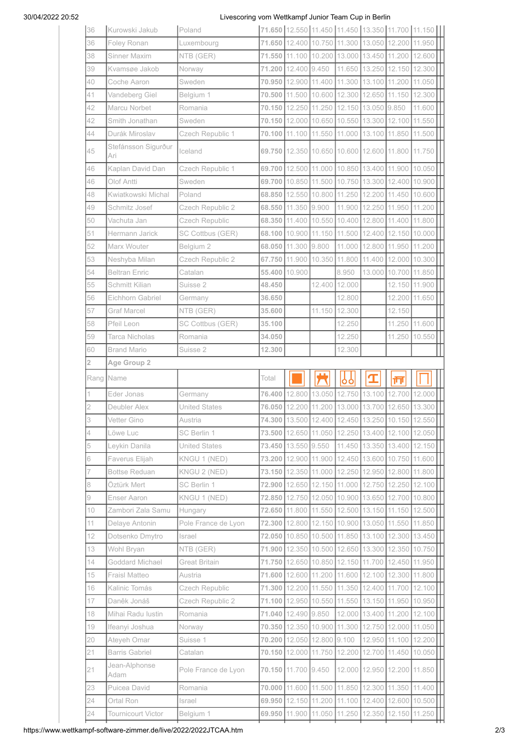## 30/04/2022 20:52 Livescoring vom Wettkampf Junior Team Cup in Berlin

| 36             | Kurowski Jakub                         | Poland               |        |                                              |               |                      |                                                  |                                | 71.650 12.550 11.450 11.450 13.350 11.700 11.150 |
|----------------|----------------------------------------|----------------------|--------|----------------------------------------------|---------------|----------------------|--------------------------------------------------|--------------------------------|--------------------------------------------------|
| 36             | Foley Ronan                            | Luxembourg           |        | 71.650 12.400 10.750 11.300 13.050           |               |                      |                                                  | 12.200 11.950                  |                                                  |
| 38             | Sinner Maxim                           | NTB (GER)            |        |                                              |               |                      | 71.550 11.100 10.200 13.000 13.450 11.200        |                                | 12.600                                           |
| 39             | Kvamsøe Jakob                          | Norway               |        | 71.200 12.400 9.450                          |               |                      | 11.650 13.250 12.150 12.300                      |                                |                                                  |
| 40             | Coche Aaron                            | Sweden               |        | 70.950 12.900                                |               | 11.400 11.300        | 13.100                                           | 11.200                         | 11.050                                           |
| 41             | Vandeberg Giel                         | Belgium 1            |        | 70.500 11.500                                |               | 10.600 12.300        | 12.650                                           | 11.150                         | 12.300                                           |
| 42             | Marcu Norbet                           | Romania              |        | 70.150 12.250 11.250 12.150 13.050           |               |                      |                                                  | 9.850                          | 11.600                                           |
| 42             | Smith Jonathan                         | Sweden               |        |                                              |               |                      | 70.150 12.000 10.650 10.550 13.300 12.100 11.550 |                                |                                                  |
| 44             | Durák Miroslav                         | Czech Republic 1     |        | 70.100 11.100                                | 11.550 11.000 |                      | 13.100                                           | 11.850                         | 11.500                                           |
| 45             | Stefánsson Sigurður<br>Ari             | Iceland              |        |                                              |               |                      | 69.750 12.350 10.650 10.600 12.600 11.800        |                                | 11.750                                           |
| 46             | Kaplan David Dan                       | Czech Republic 1     |        |                                              |               |                      | 69.700 12.500 11.000 10.850 13.400 11.900 10.050 |                                |                                                  |
| 46             | Olof Antti                             | Sweden               |        | 69.700 10.850                                |               | 11.500 10.750 13.300 |                                                  | 12.400 10.900                  |                                                  |
| 48             | Kwiatkowski Michal                     | Poland               |        |                                              |               |                      | 68.850 12.550 10.800 11.250 12.200 11.450        |                                | 10.600                                           |
| 49             | Schmitz Josef                          | Czech Republic 2     |        | 68.550 11.350                                | 9.900         | 11.900               |                                                  | 12.250 11.950                  | 11.200                                           |
| 50             | Vachuta Jan                            | Czech Republic       |        | 68.350 11.400                                |               | 10.550 10.400        | 12.800                                           | 11.400                         | 11.800                                           |
| 51             | Hermann Jarick                         | SC Cottbus (GER)     |        | 68.100 10.900                                |               | 11.150 11.500        | 12.400                                           |                                | 12.150 10.000                                    |
| 52             | Marx Wouter                            | Belgium 2            |        | 68.050 11.300 9.800                          |               | 11.000 12.800        |                                                  | 11.950 11.200                  |                                                  |
| 53             | Neshyba Milan                          | Czech Republic 2     |        | 67.750 11.900                                | 10.350 11.800 |                      | 11.400                                           |                                | 12.000 10.300                                    |
| 54             | <b>Beltran Enric</b>                   | Catalan              |        | 55.400 10.900                                |               | 8.950                | 13.000                                           | 10.700 11.850                  |                                                  |
| 55             | Schmitt Kilian                         | Suisse 2             | 48.450 |                                              |               | 12.400 12.000        |                                                  | 12.150                         | 11.900                                           |
| 56             | Eichhorn Gabriel                       | Germany              | 36.650 |                                              |               | 12.800               |                                                  | 12.200                         | 11.650                                           |
| 57             | Graf Marcel                            | NTB (GER)            | 35.600 |                                              |               | 11.150 12.300        |                                                  | 12.150                         |                                                  |
| 58             | Pfeil Leon                             | SC Cottbus (GER)     | 35.100 |                                              |               | 12.250               |                                                  | 11.250                         | 11.600                                           |
| 59             | Tarca Nicholas                         | Romania              | 34.050 |                                              |               | 12.250               |                                                  | 11.250                         | 10.550                                           |
| 60             | <b>Brand Mario</b>                     | Suisse 2             | 12.300 |                                              |               | 12.300               |                                                  |                                |                                                  |
| $\overline{2}$ | Age Group 2                            |                      |        |                                              |               |                      |                                                  |                                |                                                  |
|                |                                        |                      |        |                                              |               |                      |                                                  |                                |                                                  |
|                | Rang Name                              |                      | Total  |                                              |               | ٥ò                   | I                                                | 帀                              |                                                  |
| 1              | Eder Jonas                             | Germany              |        | 76.400 12.800                                |               |                      | 13.050 12.750 13.100 12.700 12.000               |                                |                                                  |
| $\overline{c}$ | Deubler Alex                           | <b>United States</b> |        | 76.050 12.200                                |               |                      | 11.200 13.000 13.700 12.650                      |                                | 13.300                                           |
| 3              | Vetter Gino                            | Austria              |        |                                              |               |                      |                                                  |                                | 74.300 13.500 12.400 12.450 13.250 10.150 12.550 |
| 4              | Löwe Luc                               | SC Berlin 1          |        | 73.500 12.650                                |               |                      | 11.050 12.250 13.400                             | 12.100                         | 12.050                                           |
| 5              | Leykin Danila                          | <b>United States</b> |        | 73.450 13.550 9.550                          |               | 11.450               | 13.350                                           |                                | 13.400 12.150                                    |
| 6              | Faverus Elijah                         | KNGU 1 (NED)         |        | 73.200 12.900                                |               | 11.900 12.450 13.600 |                                                  | 10.750 11.600                  |                                                  |
| 7              | <b>Bottse Reduan</b>                   | KNGU 2 (NED)         |        | 73.150 12.350                                |               | 11.000 12.250 12.950 |                                                  | 12.800                         | 11.800                                           |
| 8              | Öztürk Mert                            | SC Berlin 1          |        | 72.900 12.650                                |               | 12.150 11.000 12.750 |                                                  | 12.250 12.100                  |                                                  |
| 9              | Enser Aaron                            | KNGU 1 (NED)         |        | 72.850 12.750                                |               | 12.050 10.900        | 13.650                                           | 12.700                         | 10.800                                           |
| 10             | Zambori Zala Samu                      | Hungary              |        | 72.650 11.800                                |               | 11.550 12.500        | 13.150                                           | 11.150                         | 12.500                                           |
| 11             | Delaye Antonin                         | Pole France de Lyon  |        | 72.300 12.800                                |               | 12.150 10.900 13.050 |                                                  | 11.550                         | 11.850                                           |
| 12             | Dotsenko Dmytro                        | Israel               |        | 72.050 10.850                                |               | 10.500 11.850 13.100 |                                                  |                                | 12.300 13.450                                    |
| 13             | Wohl Bryan                             | NTB (GER)            |        | 71.900 12.350                                |               | 10.500 12.650 13.300 |                                                  | 12.350 10.750                  |                                                  |
| 14             | Goddard Michael                        | <b>Great Britain</b> |        | 71.750 12.650                                |               | 10.850 12.150 11.700 |                                                  | 12.450                         | 11.950                                           |
| 15             | Fraisl Matteo                          | Austria              |        | 71.600 12.600                                | 11.200 11.600 |                      | 12.100                                           |                                | 12.300 11.800                                    |
| 16             | Kalinic Tomás                          | Czech Republic       |        | 71.300 12.200                                |               | 11.550 11.350        | 12.400                                           | 11.700                         | 12.100                                           |
| 17             | Daněk Jonáš                            | Czech Republic 2     |        | 71.100 12.950                                | 10.550 11.550 |                      | 13.150                                           |                                | 11.950 10.950                                    |
| 18             | Mihai Radu Iustin                      | Romania              |        | 71.040 12.490 9.850                          |               | 12.000 13.400        |                                                  |                                | 11.200 12.100                                    |
| 19             | Ifeanyi Joshua                         | Norway               |        | 70.350 12.350                                | 10.900 11.300 |                      | 12.750                                           | 12.000                         | 11.050                                           |
| 20             | Ateyeh Omar                            | Suisse 1             |        | 70.200 12.050                                | 12.800 9.100  |                      | 12.950                                           |                                | 11.100 12.200                                    |
| 21             | <b>Barris Gabriel</b><br>Jean-Alphonse | Catalan              |        | 70.150 12.000                                | 11.750        | 12.200               | 12.700                                           | 11.450                         | 10.050                                           |
| 21             | Adam                                   | Pole France de Lyon  |        | 70.150 11.700 9.450                          |               |                      | 12.000 12.950                                    | 12.200                         | 11.850                                           |
| 23             | Puicea David                           | Romania              |        | 70.000 11.600                                | 11.500 11.850 |                      | 12.300                                           | 11.350 11.400                  |                                                  |
| 24<br>24       | Ortal Ron<br>Tournicourt Victor        | Israel<br>Belgium 1  |        | 69.950 12.150 11.200 11.100<br>69.950 11.900 |               | 11.050 11.250        | 12.350                                           | 12.400 12.600 10.500<br>12.150 | 11.250                                           |